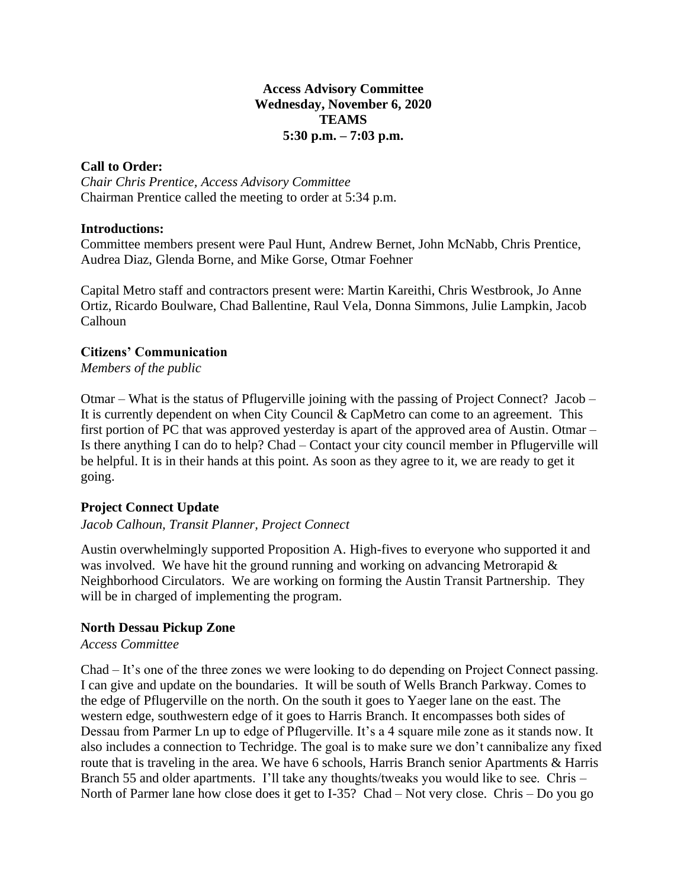## **Access Advisory Committee Wednesday, November 6, 2020 TEAMS 5:30 p.m. – 7:03 p.m.**

## **Call to Order:**

*Chair Chris Prentice, Access Advisory Committee* Chairman Prentice called the meeting to order at 5:34 p.m.

### **Introductions:**

Committee members present were Paul Hunt, Andrew Bernet, John McNabb, Chris Prentice, Audrea Diaz, Glenda Borne, and Mike Gorse, Otmar Foehner

Capital Metro staff and contractors present were: Martin Kareithi, Chris Westbrook, Jo Anne Ortiz, Ricardo Boulware, Chad Ballentine, Raul Vela, Donna Simmons, Julie Lampkin, Jacob Calhoun

## **Citizens' Communication**

*Members of the public*

Otmar – What is the status of Pflugerville joining with the passing of Project Connect? Jacob – It is currently dependent on when City Council & CapMetro can come to an agreement. This first portion of PC that was approved yesterday is apart of the approved area of Austin. Otmar – Is there anything I can do to help? Chad – Contact your city council member in Pflugerville will be helpful. It is in their hands at this point. As soon as they agree to it, we are ready to get it going.

# **Project Connect Update**

# *Jacob Calhoun, Transit Planner, Project Connect*

Austin overwhelmingly supported Proposition A. High-fives to everyone who supported it and was involved. We have hit the ground running and working on advancing Metrorapid & Neighborhood Circulators. We are working on forming the Austin Transit Partnership. They will be in charged of implementing the program.

# **North Dessau Pickup Zone**

### *Access Committee*

Chad – It's one of the three zones we were looking to do depending on Project Connect passing. I can give and update on the boundaries. It will be south of Wells Branch Parkway. Comes to the edge of Pflugerville on the north. On the south it goes to Yaeger lane on the east. The western edge, southwestern edge of it goes to Harris Branch. It encompasses both sides of Dessau from Parmer Ln up to edge of Pflugerville. It's a 4 square mile zone as it stands now. It also includes a connection to Techridge. The goal is to make sure we don't cannibalize any fixed route that is traveling in the area. We have 6 schools, Harris Branch senior Apartments & Harris Branch 55 and older apartments. I'll take any thoughts/tweaks you would like to see. Chris – North of Parmer lane how close does it get to I-35? Chad – Not very close. Chris – Do you go